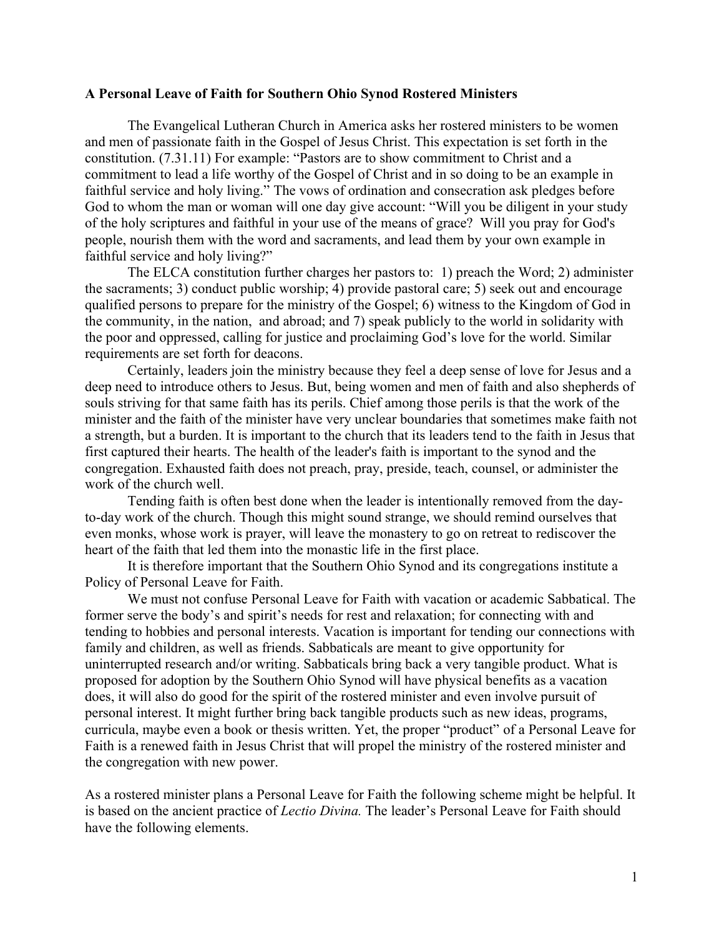## **A Personal Leave of Faith for Southern Ohio Synod Rostered Ministers**

The Evangelical Lutheran Church in America asks her rostered ministers to be women and men of passionate faith in the Gospel of Jesus Christ. This expectation is set forth in the constitution. (7.31.11) For example: "Pastors are to show commitment to Christ and a commitment to lead a life worthy of the Gospel of Christ and in so doing to be an example in faithful service and holy living." The vows of ordination and consecration ask pledges before God to whom the man or woman will one day give account: "Will you be diligent in your study of the holy scriptures and faithful in your use of the means of grace? Will you pray for God's people, nourish them with the word and sacraments, and lead them by your own example in faithful service and holy living?"

The ELCA constitution further charges her pastors to: 1) preach the Word; 2) administer the sacraments; 3) conduct public worship; 4) provide pastoral care; 5) seek out and encourage qualified persons to prepare for the ministry of the Gospel; 6) witness to the Kingdom of God in the community, in the nation, and abroad; and 7) speak publicly to the world in solidarity with the poor and oppressed, calling for justice and proclaiming God's love for the world. Similar requirements are set forth for deacons.

Certainly, leaders join the ministry because they feel a deep sense of love for Jesus and a deep need to introduce others to Jesus. But, being women and men of faith and also shepherds of souls striving for that same faith has its perils. Chief among those perils is that the work of the minister and the faith of the minister have very unclear boundaries that sometimes make faith not a strength, but a burden. It is important to the church that its leaders tend to the faith in Jesus that first captured their hearts. The health of the leader's faith is important to the synod and the congregation. Exhausted faith does not preach, pray, preside, teach, counsel, or administer the work of the church well.

Tending faith is often best done when the leader is intentionally removed from the dayto-day work of the church. Though this might sound strange, we should remind ourselves that even monks, whose work is prayer, will leave the monastery to go on retreat to rediscover the heart of the faith that led them into the monastic life in the first place.

It is therefore important that the Southern Ohio Synod and its congregations institute a Policy of Personal Leave for Faith.

We must not confuse Personal Leave for Faith with vacation or academic Sabbatical. The former serve the body's and spirit's needs for rest and relaxation; for connecting with and tending to hobbies and personal interests. Vacation is important for tending our connections with family and children, as well as friends. Sabbaticals are meant to give opportunity for uninterrupted research and/or writing. Sabbaticals bring back a very tangible product. What is proposed for adoption by the Southern Ohio Synod will have physical benefits as a vacation does, it will also do good for the spirit of the rostered minister and even involve pursuit of personal interest. It might further bring back tangible products such as new ideas, programs, curricula, maybe even a book or thesis written. Yet, the proper "product" of a Personal Leave for Faith is a renewed faith in Jesus Christ that will propel the ministry of the rostered minister and the congregation with new power.

As a rostered minister plans a Personal Leave for Faith the following scheme might be helpful. It is based on the ancient practice of *Lectio Divina.* The leader's Personal Leave for Faith should have the following elements.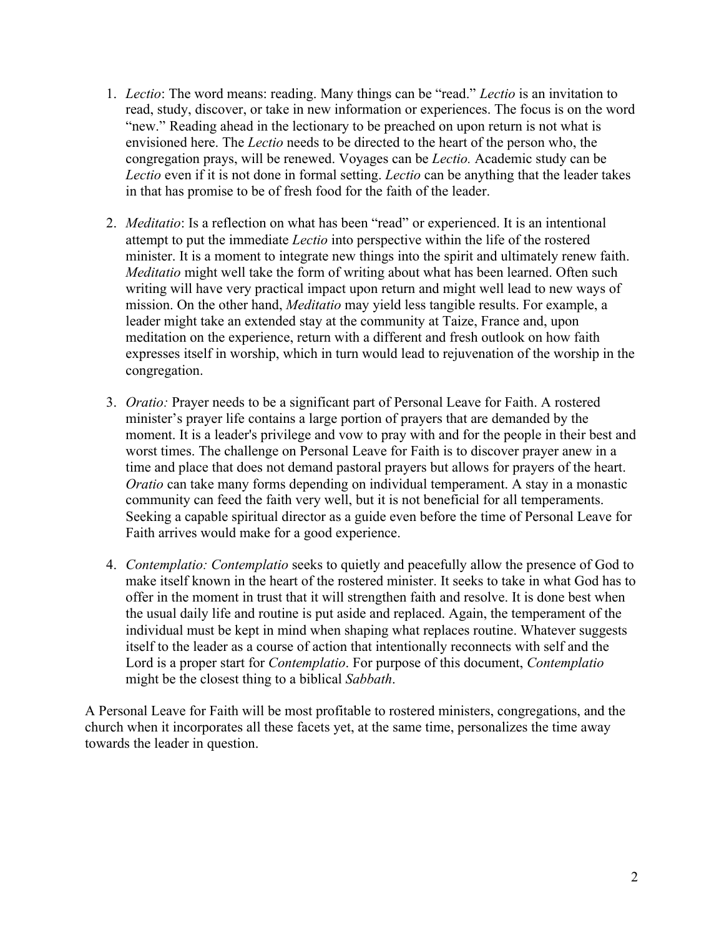- 1. *Lectio*: The word means: reading. Many things can be "read." *Lectio* is an invitation to read, study, discover, or take in new information or experiences. The focus is on the word "new." Reading ahead in the lectionary to be preached on upon return is not what is envisioned here. The *Lectio* needs to be directed to the heart of the person who, the congregation prays, will be renewed. Voyages can be *Lectio.* Academic study can be *Lectio* even if it is not done in formal setting. *Lectio* can be anything that the leader takes in that has promise to be of fresh food for the faith of the leader.
- 2. *Meditatio*: Is a reflection on what has been "read" or experienced. It is an intentional attempt to put the immediate *Lectio* into perspective within the life of the rostered minister. It is a moment to integrate new things into the spirit and ultimately renew faith. *Meditatio* might well take the form of writing about what has been learned. Often such writing will have very practical impact upon return and might well lead to new ways of mission. On the other hand, *Meditatio* may yield less tangible results. For example, a leader might take an extended stay at the community at Taize, France and, upon meditation on the experience, return with a different and fresh outlook on how faith expresses itself in worship, which in turn would lead to rejuvenation of the worship in the congregation.
- 3. *Oratio:* Prayer needs to be a significant part of Personal Leave for Faith. A rostered minister's prayer life contains a large portion of prayers that are demanded by the moment. It is a leader's privilege and vow to pray with and for the people in their best and worst times. The challenge on Personal Leave for Faith is to discover prayer anew in a time and place that does not demand pastoral prayers but allows for prayers of the heart. *Oratio* can take many forms depending on individual temperament. A stay in a monastic community can feed the faith very well, but it is not beneficial for all temperaments. Seeking a capable spiritual director as a guide even before the time of Personal Leave for Faith arrives would make for a good experience.
- 4. *Contemplatio: Contemplatio* seeks to quietly and peacefully allow the presence of God to make itself known in the heart of the rostered minister. It seeks to take in what God has to offer in the moment in trust that it will strengthen faith and resolve. It is done best when the usual daily life and routine is put aside and replaced. Again, the temperament of the individual must be kept in mind when shaping what replaces routine. Whatever suggests itself to the leader as a course of action that intentionally reconnects with self and the Lord is a proper start for *Contemplatio*. For purpose of this document, *Contemplatio* might be the closest thing to a biblical *Sabbath*.

A Personal Leave for Faith will be most profitable to rostered ministers, congregations, and the church when it incorporates all these facets yet, at the same time, personalizes the time away towards the leader in question.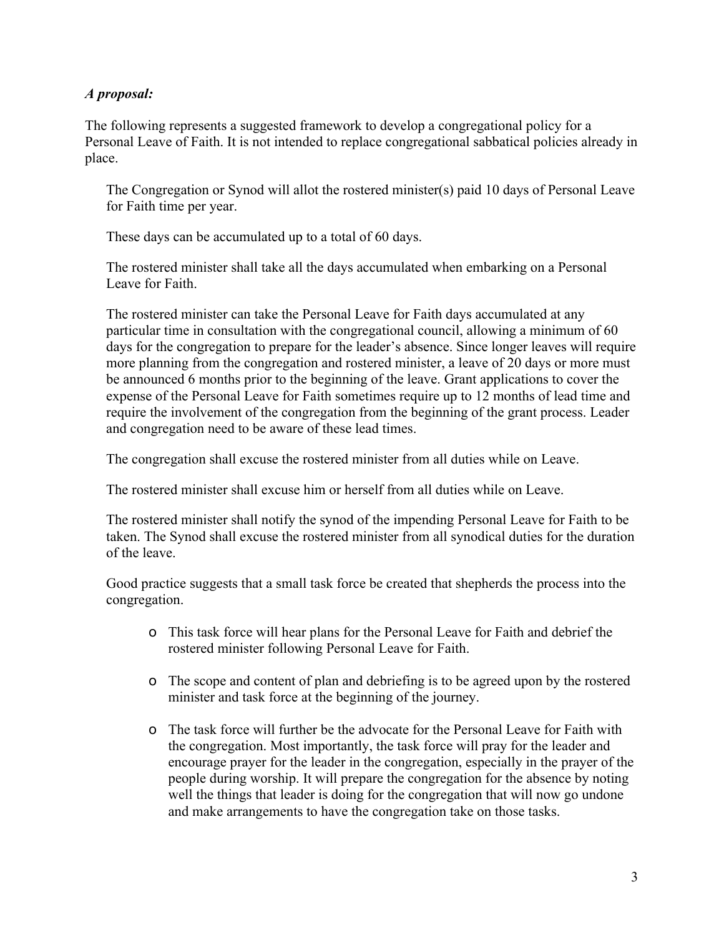## *A proposal:*

The following represents a suggested framework to develop a congregational policy for a Personal Leave of Faith. It is not intended to replace congregational sabbatical policies already in place.

The Congregation or Synod will allot the rostered minister(s) paid 10 days of Personal Leave for Faith time per year.

These days can be accumulated up to a total of 60 days.

The rostered minister shall take all the days accumulated when embarking on a Personal Leave for Faith.

The rostered minister can take the Personal Leave for Faith days accumulated at any particular time in consultation with the congregational council, allowing a minimum of 60 days for the congregation to prepare for the leader's absence. Since longer leaves will require more planning from the congregation and rostered minister, a leave of 20 days or more must be announced 6 months prior to the beginning of the leave. Grant applications to cover the expense of the Personal Leave for Faith sometimes require up to 12 months of lead time and require the involvement of the congregation from the beginning of the grant process. Leader and congregation need to be aware of these lead times.

The congregation shall excuse the rostered minister from all duties while on Leave.

The rostered minister shall excuse him or herself from all duties while on Leave.

The rostered minister shall notify the synod of the impending Personal Leave for Faith to be taken. The Synod shall excuse the rostered minister from all synodical duties for the duration of the leave.

Good practice suggests that a small task force be created that shepherds the process into the congregation.

- o This task force will hear plans for the Personal Leave for Faith and debrief the rostered minister following Personal Leave for Faith.
- o The scope and content of plan and debriefing is to be agreed upon by the rostered minister and task force at the beginning of the journey.
- o The task force will further be the advocate for the Personal Leave for Faith with the congregation. Most importantly, the task force will pray for the leader and encourage prayer for the leader in the congregation, especially in the prayer of the people during worship. It will prepare the congregation for the absence by noting well the things that leader is doing for the congregation that will now go undone and make arrangements to have the congregation take on those tasks.